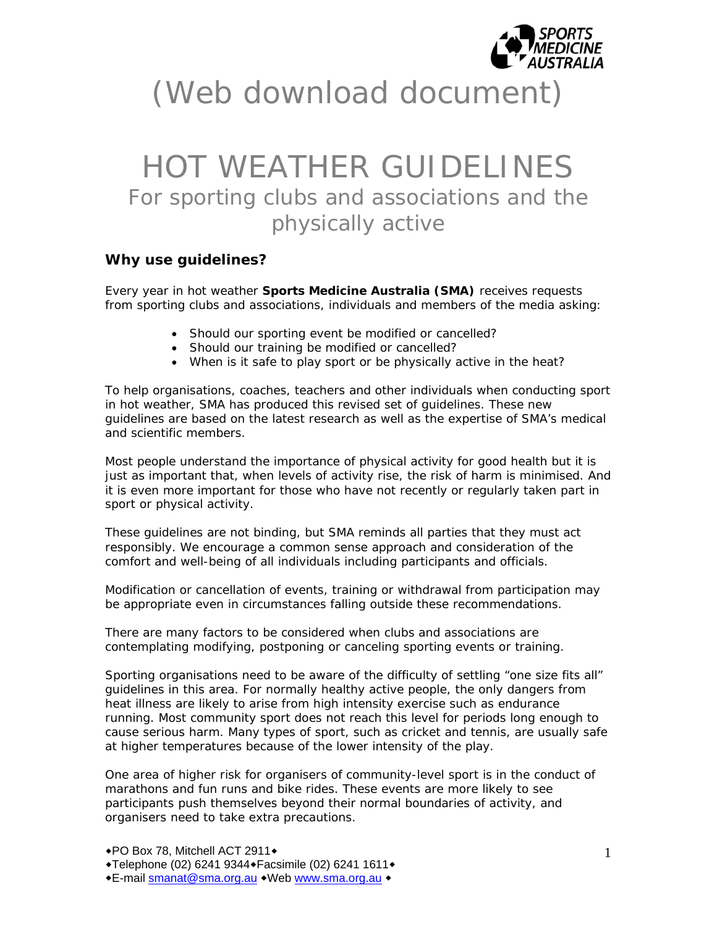

# (Web download document)

# HOT WEATHER GUIDELINES For sporting clubs and associations and the physically active

# **Why use guidelines?**

Every year in hot weather **Sports Medicine Australia (SMA)** receives requests from sporting clubs and associations, individuals and members of the media asking:

- Should our sporting event be modified or cancelled?
- Should our training be modified or cancelled?
- When is it safe to play sport or be physically active in the heat?

To help organisations, coaches, teachers and other individuals when conducting sport in hot weather, SMA has produced this revised set of guidelines. These new guidelines are based on the latest research as well as the expertise of SMA's medical and scientific members.

Most people understand the importance of physical activity for good health but it is just as important that, when levels of activity rise, the risk of harm is minimised. And it is even more important for those who have not recently or regularly taken part in sport or physical activity.

These guidelines are not binding, but SMA reminds all parties that they must act responsibly. We encourage a common sense approach and consideration of the comfort and well-being of all individuals including participants and officials.

Modification or cancellation of events, training or withdrawal from participation may be appropriate even in circumstances falling outside these recommendations.

There are many factors to be considered when clubs and associations are contemplating modifying, postponing or canceling sporting events or training.

Sporting organisations need to be aware of the difficulty of settling "one size fits all" guidelines in this area. For normally healthy active people, the only dangers from heat illness are likely to arise from high intensity exercise such as endurance running. Most community sport does not reach this level for periods long enough to cause serious harm. Many types of sport, such as cricket and tennis, are usually safe at higher temperatures because of the lower intensity of the play.

One area of higher risk for organisers of community-level sport is in the conduct of marathons and fun runs and bike rides. These events are more likely to see participants push themselves beyond their normal boundaries of activity, and organisers need to take extra precautions.

E-mail smanat@sma.org.au Web www.sma.org.au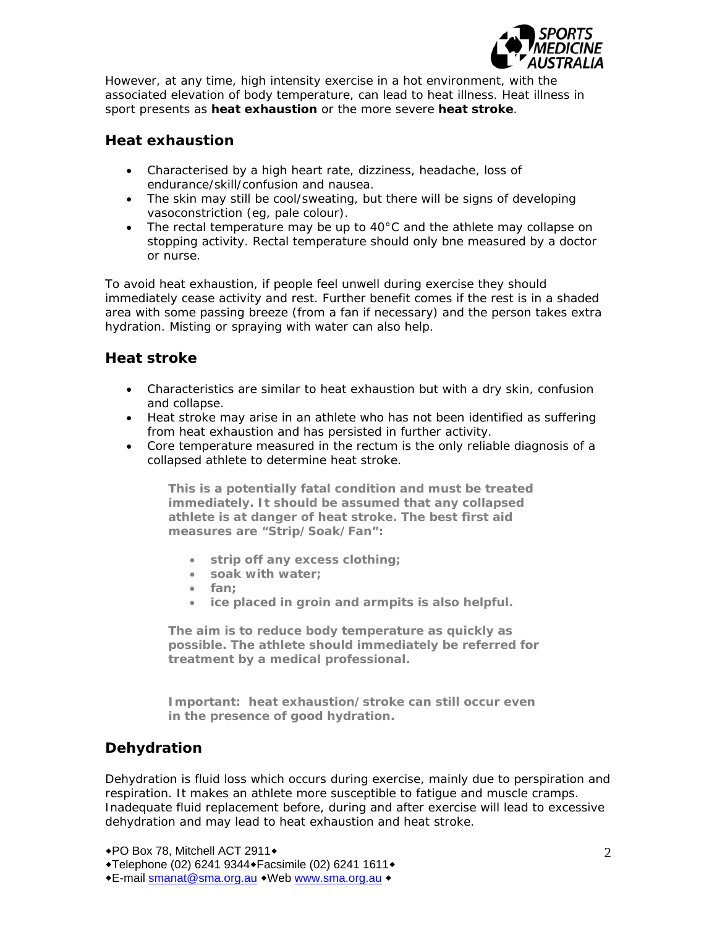

However, at any time, high intensity exercise in a hot environment, with the associated elevation of body temperature, can lead to heat illness. Heat illness in sport presents as **heat exhaustion** or the more severe **heat stroke**.

# **Heat exhaustion**

- Characterised by a high heart rate, dizziness, headache, loss of endurance/skill/confusion and nausea.
- The skin may still be cool/sweating, but there will be signs of developing vasoconstriction (eg, pale colour).
- The rectal temperature may be up to  $40^{\circ}$ C and the athlete may collapse on stopping activity. Rectal temperature should only bne measured by a doctor or nurse.

To avoid heat exhaustion, if people feel unwell during exercise they should immediately cease activity and rest. Further benefit comes if the rest is in a shaded area with some passing breeze (from a fan if necessary) and the person takes extra hydration. Misting or spraying with water can also help.

# **Heat stroke**

- Characteristics are similar to heat exhaustion but with a dry skin, confusion and collapse.
- Heat stroke may arise in an athlete who has not been identified as suffering from heat exhaustion and has persisted in further activity.
- Core temperature measured in the rectum is the only reliable diagnosis of a collapsed athlete to determine heat stroke.

**This is a potentially fatal condition and must be treated immediately. It should be assumed that any collapsed athlete is at danger of heat stroke. The best first aid measures are "Strip/Soak/Fan":** 

- **strip off any excess clothing;**
- **soak with water;**
- **fan;**
- **ice placed in groin and armpits is also helpful.**

**The aim is to reduce body temperature as quickly as possible. The athlete should immediately be referred for treatment by a medical professional.** 

**Important: heat exhaustion/stroke can still occur even in the presence of good hydration.** 

# **Dehydration**

Dehydration is fluid loss which occurs during exercise, mainly due to perspiration and respiration. It makes an athlete more susceptible to fatigue and muscle cramps. Inadequate fluid replacement before, during and after exercise will lead to excessive dehydration and may lead to heat exhaustion and heat stroke.

◆PO Box 78, Mitchell ACT 2911◆

◆Telephone (02) 6241 9344◆ Facsimile (02) 6241 1611◆

\*E-mail smanat@sma.org.au \*Web www.sma.org.au \*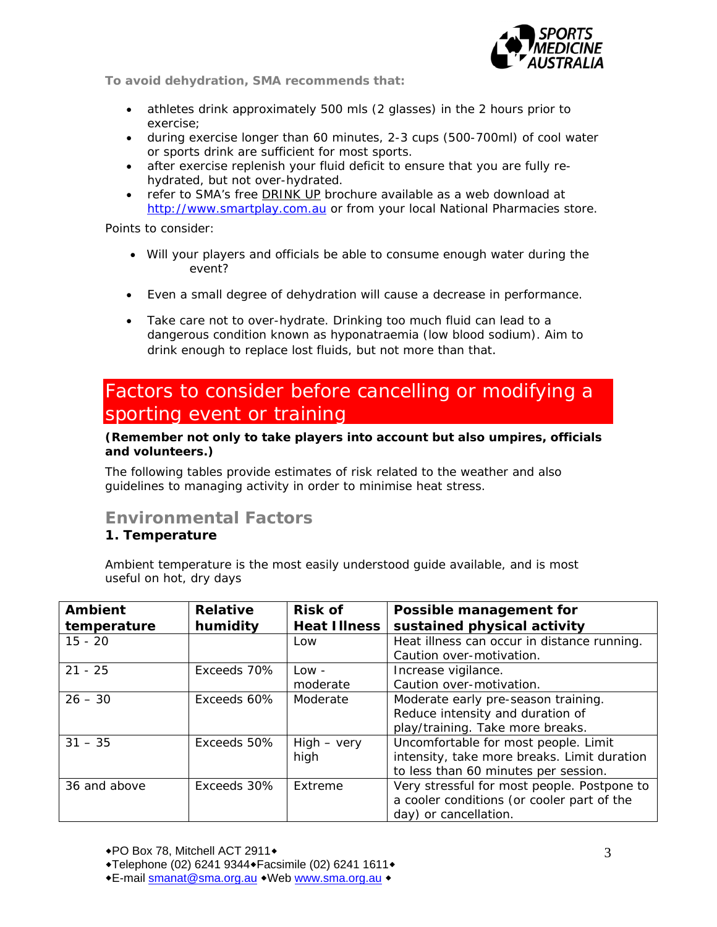

**To avoid dehydration, SMA recommends that:** 

- athletes drink approximately 500 mls (2 glasses) in the 2 hours prior to exercise;
- during exercise longer than 60 minutes, 2-3 cups (500-700ml) of cool water or sports drink are sufficient for most sports.
- after exercise replenish your fluid deficit to ensure that you are fully rehydrated, but not over-hydrated.
- refer to SMA's free DRINK UP brochure available as a web download at http://www.smartplay.com.au or from your local National Pharmacies store.

Points to consider:

- Will your players and officials be able to consume enough water during the event?
- Even a small degree of dehydration will cause a decrease in performance.
- Take care not to over-hydrate. Drinking too much fluid can lead to a dangerous condition known as hyponatraemia (low blood sodium). Aim to drink enough to replace lost fluids, but not more than that.

# Factors to consider before cancelling or modifying a sporting event or training

### **(Remember not only to take players into account but also umpires, officials and volunteers.)**

The following tables provide estimates of risk related to the weather and also guidelines to managing activity in order to minimise heat stress.

# **Environmental Factors**

# **1. Temperature**

Ambient temperature is the most easily understood guide available, and is most useful on hot, dry days

| <b>Ambient</b> | <b>Relative</b> | <b>Risk of</b>      | Possible management for                     |
|----------------|-----------------|---------------------|---------------------------------------------|
| temperature    | humidity        | <b>Heat Illness</b> | sustained physical activity                 |
| $15 - 20$      |                 | Low                 | Heat illness can occur in distance running. |
|                |                 |                     | Caution over-motivation.                    |
| $21 - 25$      | Exceeds 70%     | $Low -$             | Increase vigilance.                         |
|                |                 | moderate            | Caution over-motivation.                    |
| $26 - 30$      | Exceeds 60%     | Moderate            | Moderate early pre-season training.         |
|                |                 |                     | Reduce intensity and duration of            |
|                |                 |                     | play/training. Take more breaks.            |
| $31 - 35$      | Exceeds 50%     | $High - very$       | Uncomfortable for most people. Limit        |
|                |                 | high                | intensity, take more breaks. Limit duration |
|                |                 |                     | to less than 60 minutes per session.        |
| 36 and above   | Exceeds 30%     | Extreme             | Very stressful for most people. Postpone to |
|                |                 |                     | a cooler conditions (or cooler part of the  |
|                |                 |                     | day) or cancellation.                       |

E-mail smanat@sma.org.au Web www.sma.org.au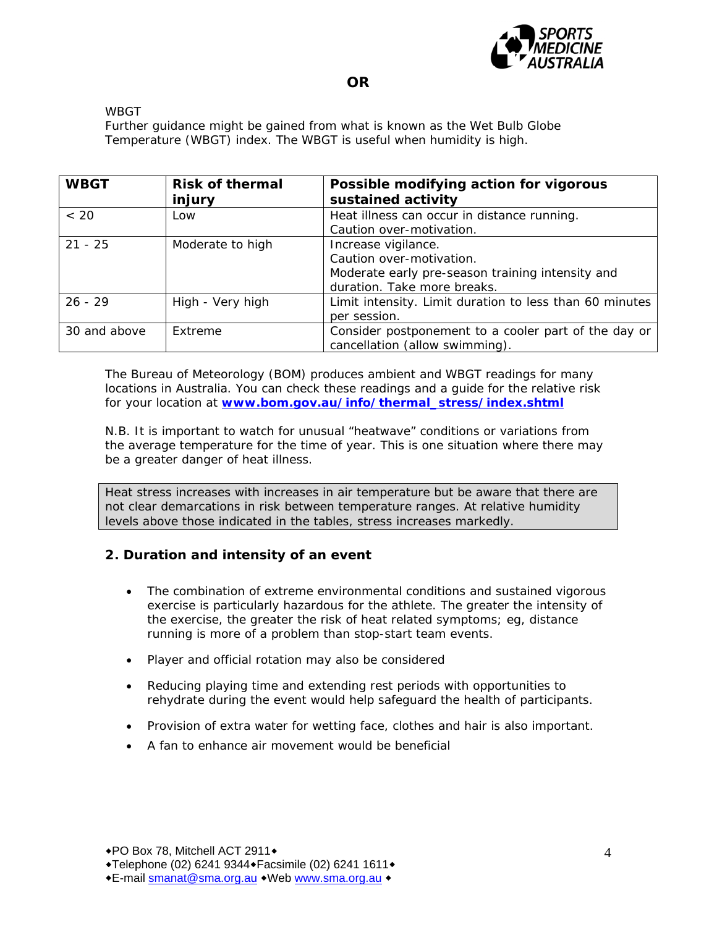

#### WBGT

Further guidance might be gained from what is known as the Wet Bulb Globe Temperature (WBGT) index. The WBGT is useful when humidity is high.

| <b>WBGT</b>  | <b>Risk of thermal</b><br>injury | Possible modifying action for vigorous<br>sustained activity                                                                       |
|--------------|----------------------------------|------------------------------------------------------------------------------------------------------------------------------------|
| ~< 20        | Low                              | Heat illness can occur in distance running.<br>Caution over-motivation.                                                            |
| $21 - 25$    | Moderate to high                 | Increase vigilance.<br>Caution over-motivation.<br>Moderate early pre-season training intensity and<br>duration. Take more breaks. |
| $26 - 29$    | High - Very high                 | Limit intensity. Limit duration to less than 60 minutes<br>per session.                                                            |
| 30 and above | Extreme                          | Consider postponement to a cooler part of the day or<br>cancellation (allow swimming).                                             |

The Bureau of Meteorology (BOM) produces ambient and WBGT readings for many locations in Australia. You can check these readings and a guide for the relative risk for your location at **www.bom.gov.au/info/thermal\_stress/index.shtml**

N.B. It is important to watch for unusual "heatwave" conditions or variations from the average temperature for the time of year. This is one situation where there may be a greater danger of heat illness.

Heat stress increases with increases in air temperature but be aware that there are not clear demarcations in risk between temperature ranges. At relative humidity levels above those indicated in the tables, stress increases markedly.

# **2. Duration and intensity of an event**

- The combination of extreme environmental conditions and sustained vigorous exercise is particularly hazardous for the athlete. The greater the intensity of the exercise, the greater the risk of heat related symptoms; eg, distance running is more of a problem than stop-start team events.
- Player and official rotation may also be considered
- Reducing playing time and extending rest periods with opportunities to rehydrate during the event would help safeguard the health of participants.
- Provision of extra water for wetting face, clothes and hair is also important.
- A fan to enhance air movement would be beneficial

E-mail smanat@sma.org.au Web www.sma.org.au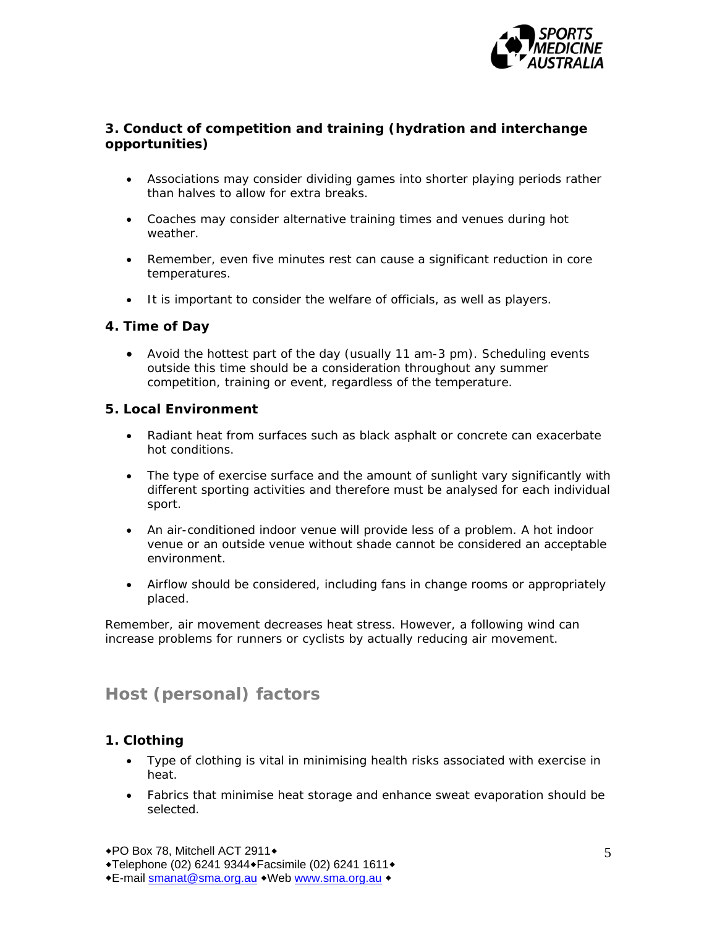

# **3. Conduct of competition and training (hydration and interchange opportunities)**

- Associations may consider dividing games into shorter playing periods rather than halves to allow for extra breaks.
- Coaches may consider alternative training times and venues during hot weather.
- Remember, even five minutes rest can cause a significant reduction in core temperatures.
- It is important to consider the welfare of officials, as well as players.

# **4. Time of Day**

 Avoid the hottest part of the day (usually 11 am-3 pm). Scheduling events outside this time should be a consideration throughout any summer competition, training or event, regardless of the temperature.

# **5. Local Environment**

- Radiant heat from surfaces such as black asphalt or concrete can exacerbate hot conditions.
- The type of exercise surface and the amount of sunlight vary significantly with different sporting activities and therefore must be analysed for each individual sport.
- An air-conditioned indoor venue will provide less of a problem. A hot indoor venue or an outside venue without shade cannot be considered an acceptable environment.
- Airflow should be considered, including fans in change rooms or appropriately placed.

Remember, air movement decreases heat stress. However, a following wind can increase problems for runners or cyclists by actually reducing air movement.

# **Host (personal) factors**

# **1. Clothing**

- Type of clothing is vital in minimising health risks associated with exercise in heat.
- Fabrics that minimise heat storage and enhance sweat evaporation should be selected.

◆PO Box 78, Mitchell ACT 2911◆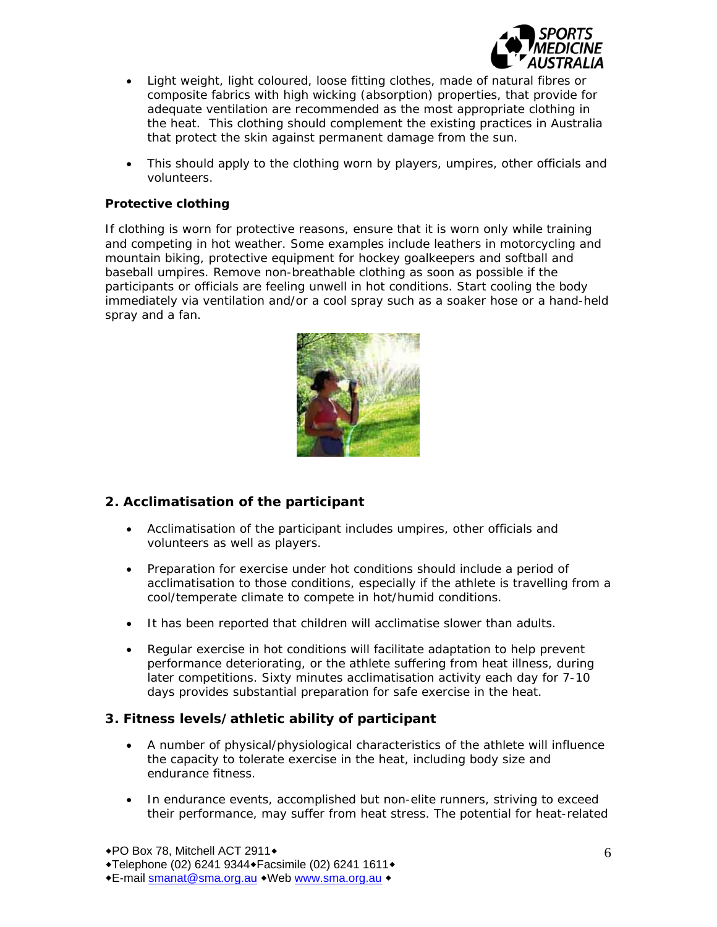

- Light weight, light coloured, loose fitting clothes, made of natural fibres or composite fabrics with high wicking (absorption) properties, that provide for adequate ventilation are recommended as the most appropriate clothing in the heat. This clothing should complement the existing practices in Australia that protect the skin against permanent damage from the sun.
- This should apply to the clothing worn by players, umpires, other officials and volunteers.

### **Protective clothing**

If clothing is worn for protective reasons, ensure that it is worn only while training and competing in hot weather. Some examples include leathers in motorcycling and mountain biking, protective equipment for hockey goalkeepers and softball and baseball umpires. Remove non-breathable clothing as soon as possible if the participants or officials are feeling unwell in hot conditions. Start cooling the body immediately via ventilation and/or a cool spray such as a soaker hose or a hand-held spray and a fan.



# **2. Acclimatisation of the participant**

- Acclimatisation of the participant includes umpires, other officials and volunteers as well as players.
- Preparation for exercise under hot conditions should include a period of acclimatisation to those conditions, especially if the athlete is travelling from a cool/temperate climate to compete in hot/humid conditions.
- It has been reported that children will acclimatise slower than adults.
- Regular exercise in hot conditions will facilitate adaptation to help prevent performance deteriorating, or the athlete suffering from heat illness, during later competitions. Sixty minutes acclimatisation activity each day for 7-10 days provides substantial preparation for safe exercise in the heat.

# **3. Fitness levels/athletic ability of participant**

- A number of physical/physiological characteristics of the athlete will influence the capacity to tolerate exercise in the heat, including body size and endurance fitness.
- In endurance events, accomplished but non-elite runners, striving to exceed their performance, may suffer from heat stress. The potential for heat-related

◆PO Box 78, Mitchell ACT 2911◆

E-mail smanat@sma.org.au Web www.sma.org.au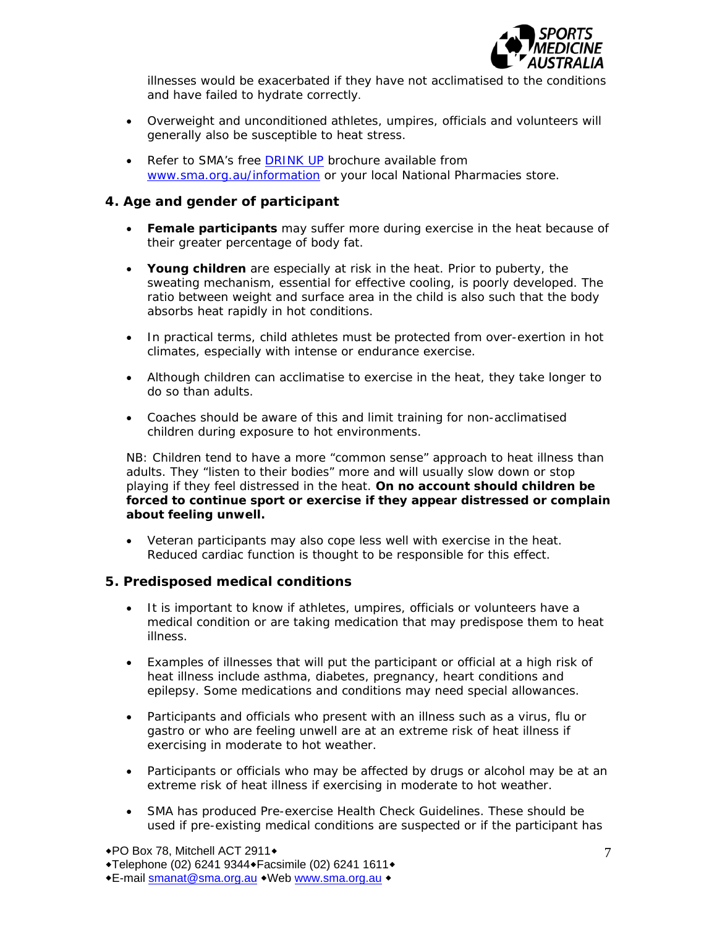

illnesses would be exacerbated if they have not acclimatised to the conditions and have failed to hydrate correctly.

- Overweight and unconditioned athletes, umpires, officials and volunteers will generally also be susceptible to heat stress.
- Refer to SMA's free DRINK UP brochure available from www.sma.org.au/information or your local National Pharmacies store.

## **4. Age and gender of participant**

- **Female participants** may suffer more during exercise in the heat because of their greater percentage of body fat.
- **Young children** are especially at risk in the heat. Prior to puberty, the sweating mechanism, essential for effective cooling, is poorly developed. The ratio between weight and surface area in the child is also such that the body absorbs heat rapidly in hot conditions.
- In practical terms, child athletes must be protected from over-exertion in hot climates, especially with intense or endurance exercise.
- Although children can acclimatise to exercise in the heat, they take longer to do so than adults.
- Coaches should be aware of this and limit training for non-acclimatised children during exposure to hot environments.

NB: Children tend to have a more "common sense" approach to heat illness than adults. They "listen to their bodies" more and will usually slow down or stop playing if they feel distressed in the heat. *On no account should children be forced to continue sport or exercise if they appear distressed or complain about feeling unwell.* 

 Veteran participants may also cope less well with exercise in the heat. Reduced cardiac function is thought to be responsible for this effect.

#### **5. Predisposed medical conditions**

- It is important to know if athletes, umpires, officials or volunteers have a medical condition or are taking medication that may predispose them to heat illness.
- Examples of illnesses that will put the participant or official at a high risk of heat illness include asthma, diabetes, pregnancy, heart conditions and epilepsy. Some medications and conditions may need special allowances.
- Participants and officials who present with an illness such as a virus, flu or gastro or who are feeling unwell are at an extreme risk of heat illness if exercising in moderate to hot weather.
- Participants or officials who may be affected by drugs or alcohol may be at an extreme risk of heat illness if exercising in moderate to hot weather.
- SMA has produced Pre-exercise Health Check Guidelines. These should be used if pre-existing medical conditions are suspected or if the participant has

E-mail smanat@sma.org.au Web www.sma.org.au